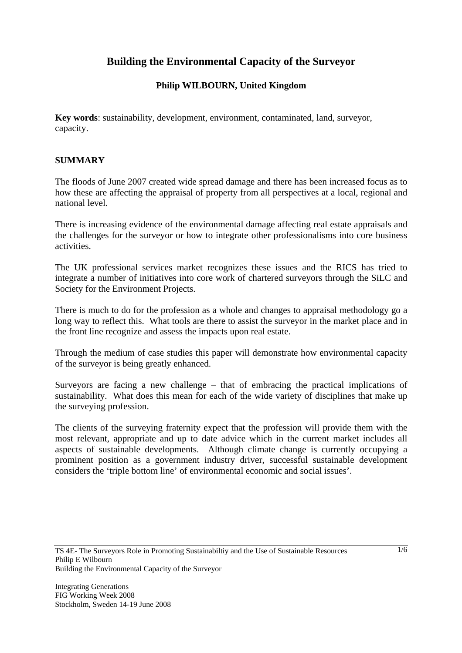# **Building the Environmental Capacity of the Surveyor**

# **Philip WILBOURN, United Kingdom**

**Key words**: sustainability, development, environment, contaminated, land, surveyor, capacity.

## **SUMMARY**

The floods of June 2007 created wide spread damage and there has been increased focus as to how these are affecting the appraisal of property from all perspectives at a local, regional and national level.

There is increasing evidence of the environmental damage affecting real estate appraisals and the challenges for the surveyor or how to integrate other professionalisms into core business activities.

The UK professional services market recognizes these issues and the RICS has tried to integrate a number of initiatives into core work of chartered surveyors through the SiLC and Society for the Environment Projects.

There is much to do for the profession as a whole and changes to appraisal methodology go a long way to reflect this. What tools are there to assist the surveyor in the market place and in the front line recognize and assess the impacts upon real estate.

Through the medium of case studies this paper will demonstrate how environmental capacity of the surveyor is being greatly enhanced.

Surveyors are facing a new challenge – that of embracing the practical implications of sustainability. What does this mean for each of the wide variety of disciplines that make up the surveying profession.

The clients of the surveying fraternity expect that the profession will provide them with the most relevant, appropriate and up to date advice which in the current market includes all aspects of sustainable developments. Although climate change is currently occupying a prominent position as a government industry driver, successful sustainable development considers the 'triple bottom line' of environmental economic and social issues'.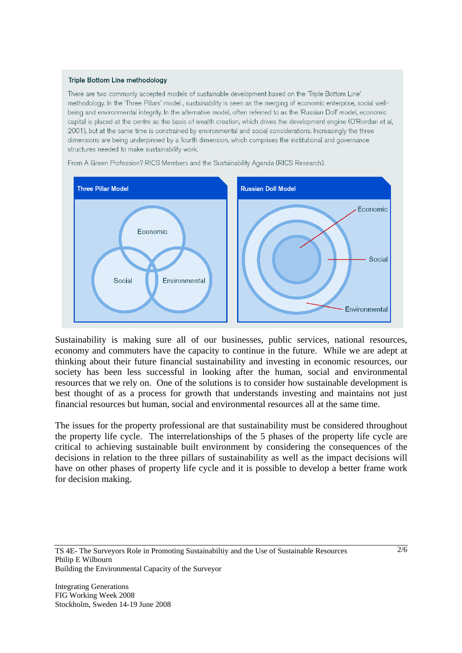#### Triple Bottom Line methodology

There are two commonly accepted models of sustainable development based on the 'Triple Bottom Line' methodology. In the 'Three Pillars' model, sustainability is seen as the merging of economic enterprise, social wellbeing and environmental integrity. In the alternative model, often referred to as the 'Russian Doll' model, economic capital is placed at the centre as the basis of wealth creation, which drives the development engine (O'Riordan et al, 2001), but at the same time is constrained by environmental and social considerations. Increasingly the three dimensions are being underpinned by a fourth dimension, which comprises the institutional and governance structures needed to make sustainability work.



From A Green Profession? RICS Members and the Sustainability Agenda (RICS Research).

Sustainability is making sure all of our businesses, public services, national resources, economy and commuters have the capacity to continue in the future. While we are adept at thinking about their future financial sustainability and investing in economic resources, our society has been less successful in looking after the human, social and environmental resources that we rely on. One of the solutions is to consider how sustainable development is best thought of as a process for growth that understands investing and maintains not just financial resources but human, social and environmental resources all at the same time.

The issues for the property professional are that sustainability must be considered throughout the property life cycle. The interrelationships of the 5 phases of the property life cycle are critical to achieving sustainable built environment by considering the consequences of the decisions in relation to the three pillars of sustainability as well as the impact decisions will have on other phases of property life cycle and it is possible to develop a better frame work for decision making.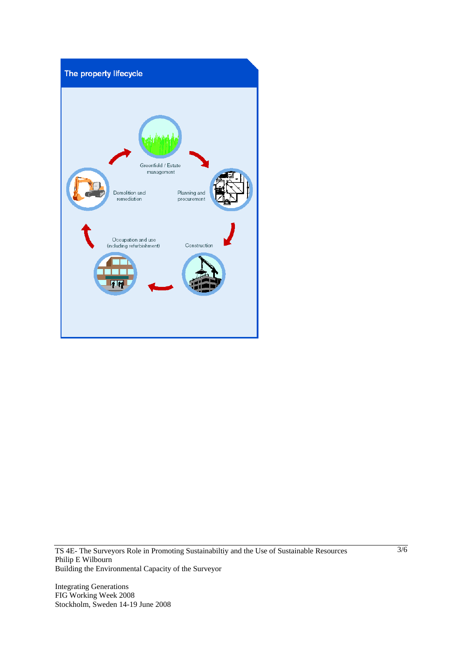

TS 4E- The Surveyors Role in Promoting Sustainabiltiy and the Use of Sustainable Resources Philip E Wilbourn Building the Environmental Capacity of the Surveyor

Integrating Generations FIG Working Week 2008 Stockholm, Sweden 14-19 June 2008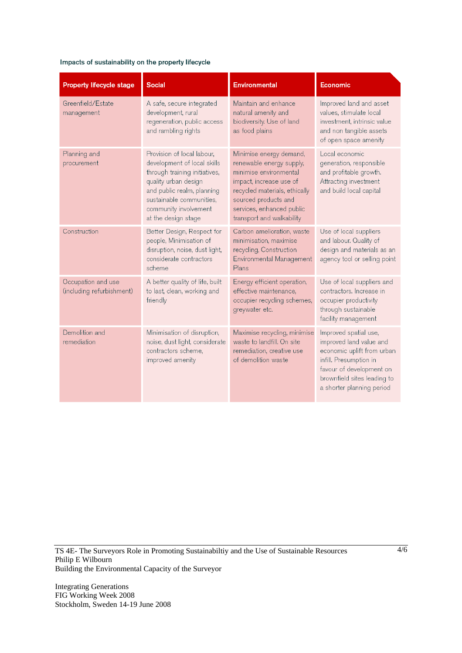#### Impacts of sustainability on the property lifecycle

| Property lifecycle stage                        | <b>Social</b>                                                                                                                                                                                                                | <b>Environmental</b>                                                                                                                                                                                                        | Economic                                                                                                                                                                                         |
|-------------------------------------------------|------------------------------------------------------------------------------------------------------------------------------------------------------------------------------------------------------------------------------|-----------------------------------------------------------------------------------------------------------------------------------------------------------------------------------------------------------------------------|--------------------------------------------------------------------------------------------------------------------------------------------------------------------------------------------------|
| Greenfield/Estate<br>management                 | A safe, secure integrated<br>development, rural<br>regeneration, public access<br>and rambling rights                                                                                                                        | Maintain and enhance<br>natural amenity and<br>biodiversity. Use of land<br>as food plains                                                                                                                                  | Improved land and asset<br>values, stimulate local<br>investment, intrinsic value<br>and non tangible assets<br>of open space amenity                                                            |
| Planning and<br>procurement                     | Provision of local labour,<br>development of local skills<br>through training initiatives,<br>quality urban design<br>and public realm, planning<br>sustainable communities,<br>community involvement<br>at the design stage | Minimise energy demand,<br>renewable energy supply,<br>minimise environmental<br>impact, increase use of<br>recycled materials, ethically<br>sourced products and<br>services, enhanced public<br>transport and walkability | Local economic<br>generation, responsible<br>and profitable growth.<br>Attracting investment<br>and build local capital                                                                          |
| Construction                                    | Better Design, Respect for<br>people, Minimisation of<br>disruption, noise, dust light,<br>considerate contractors<br>scheme                                                                                                 | Carbon amelioration, waste<br>minimisation, maximise<br>recycling, Construction<br>Environmental Management<br>Plans                                                                                                        | Use of local suppliers<br>and labour. Quality of<br>design and materials as an<br>agency tool or selling point                                                                                   |
| Occupation and use<br>(including refurbishment) | A better quality of life, built<br>to last, clean, working and<br>friendly                                                                                                                                                   | Energy efficient operation,<br>effective maintenance,<br>occupier recycling schemes,<br>greywater etc.                                                                                                                      | Use of local suppliers and<br>contractors, Increase in<br>occupier productivity<br>through sustainable<br>facility management                                                                    |
| Demolition and<br>remediation                   | Minimisation of disruption,<br>noise, dust light, considerate<br>contractors scheme.<br>improved amenity                                                                                                                     | Maximise recycling, minimise<br>waste to landfill. On site<br>remediation, creative use<br>of demolition waste                                                                                                              | Improved spatial use,<br>improved land value and<br>economic uplift from urban<br>infill. Presumption in<br>favour of development on<br>brownfield sites leading to<br>a shorter planning period |

TS 4E- The Surveyors Role in Promoting Sustainabiltiy and the Use of Sustainable Resources Philip E Wilbourn Building the Environmental Capacity of the Surveyor

Integrating Generations FIG Working Week 2008 Stockholm, Sweden 14-19 June 2008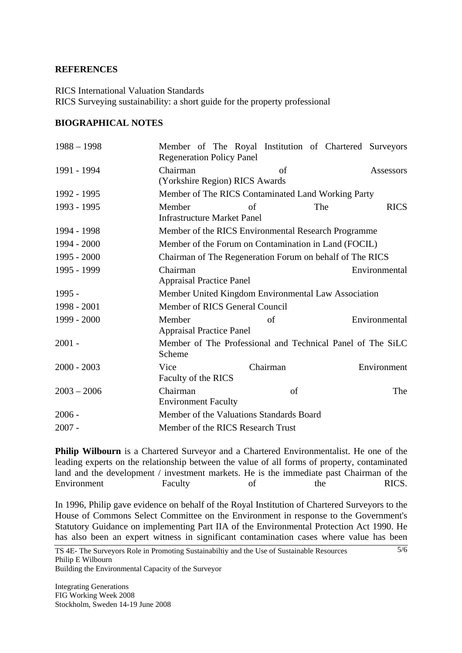### **REFERENCES**

RICS International Valuation Standards RICS Surveying sustainability: a short guide for the property professional

### **BIOGRAPHICAL NOTES**

| $1988 - 1998$ | <b>Regeneration Policy Panel</b>                         |          | Member of The Royal Institution of Chartered Surveyors     |  |
|---------------|----------------------------------------------------------|----------|------------------------------------------------------------|--|
| 1991 - 1994   | Chairman<br>(Yorkshire Region) RICS Awards               | of       | Assessors                                                  |  |
| 1992 - 1995   | Member of The RICS Contaminated Land Working Party       |          |                                                            |  |
| 1993 - 1995   | Member<br><b>Infrastructure Market Panel</b>             | of       | <b>RICS</b><br>The                                         |  |
| 1994 - 1998   | Member of the RICS Environmental Research Programme      |          |                                                            |  |
| 1994 - 2000   | Member of the Forum on Contamination in Land (FOCIL)     |          |                                                            |  |
| $1995 - 2000$ | Chairman of The Regeneration Forum on behalf of The RICS |          |                                                            |  |
| 1995 - 1999   | Chairman<br><b>Appraisal Practice Panel</b>              |          | Environmental                                              |  |
| $1995 -$      | Member United Kingdom Environmental Law Association      |          |                                                            |  |
| 1998 - 2001   | Member of RICS General Council                           |          |                                                            |  |
| 1999 - 2000   | Member<br><b>Appraisal Practice Panel</b>                | of       | Environmental                                              |  |
| $2001 -$      | Scheme                                                   |          | Member of The Professional and Technical Panel of The SiLC |  |
| $2000 - 2003$ | Vice<br>Faculty of the RICS                              | Chairman | Environment                                                |  |
| $2003 - 2006$ | Chairman<br><b>Environment Faculty</b>                   | of       | The                                                        |  |
| $2006 -$      | Member of the Valuations Standards Board                 |          |                                                            |  |
| $2007 -$      | Member of the RICS Research Trust                        |          |                                                            |  |

**Philip Wilbourn** is a Chartered Surveyor and a Chartered Environmentalist. He one of the leading experts on the relationship between the value of all forms of property, contaminated land and the development / investment markets. He is the immediate past Chairman of the Environment Faculty of the RICS.

In 1996, Philip gave evidence on behalf of the Royal Institution of Chartered Surveyors to the House of Commons Select Committee on the Environment in response to the Government's Statutory Guidance on implementing Part IIA of the Environmental Protection Act 1990. He has also been an expert witness in significant contamination cases where value has been